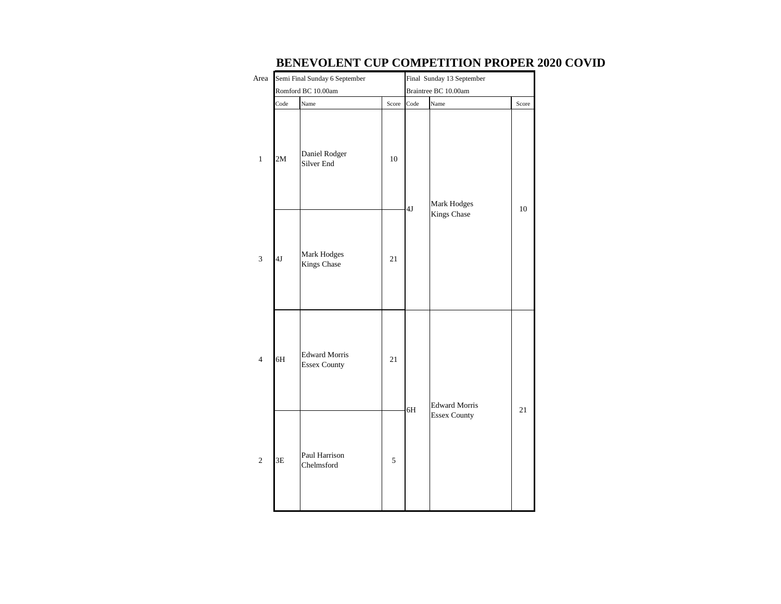| Area             |      | Semi Final Sunday 6 September        | Final Sunday 13 September |      |                      |       |  |  |  |
|------------------|------|--------------------------------------|---------------------------|------|----------------------|-------|--|--|--|
|                  |      | Romford BC 10.00am                   | Braintree BC 10.00am      |      |                      |       |  |  |  |
|                  | Code | Name                                 | Score                     | Code | Name                 | Score |  |  |  |
| $\mathbf 1$      | 2M   | Daniel Rodger<br>Silver End          | 10                        | 4J   | Mark Hodges          | 10    |  |  |  |
| 3                | 4J   | Mark Hodges<br>Kings Chase           | 21                        |      | Kings Chase          |       |  |  |  |
| $\overline{4}$   | 6H   | <b>Edward Morris</b><br>Essex County | 21                        |      | <b>Edward Morris</b> |       |  |  |  |
| $\sqrt{2}$<br>3E |      | Paul Harrison<br>Chelmsford          | 5                         | 6H   | <b>Essex County</b>  | 21    |  |  |  |

## **BENEVOLENT CUP COMPETITION PROPER 2020 COVID**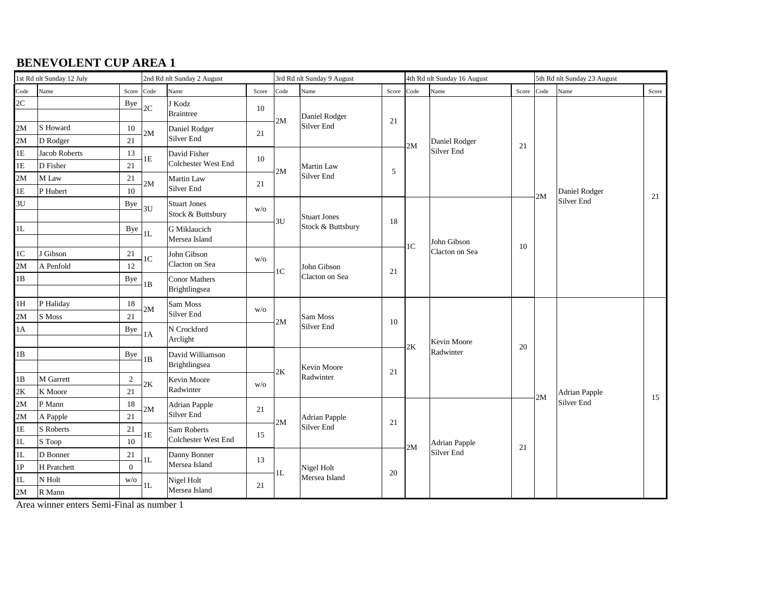| 1st Rd nlt Sunday 12 July |               |                | 2nd Rd nlt Sunday 2 August |                                          |       | 3rd Rd nlt Sunday 9 August |                               |       |                | 4th Rd nlt Sunday 16 August |       | 5th Rd nlt Sunday 23 August |                             |       |  |
|---------------------------|---------------|----------------|----------------------------|------------------------------------------|-------|----------------------------|-------------------------------|-------|----------------|-----------------------------|-------|-----------------------------|-----------------------------|-------|--|
| Code                      | Name          | Score          | Code                       | Name                                     | Score | Code                       | Name                          | Score | Code           | Name                        | Score | Code                        | Name                        | Score |  |
| 2C                        |               | Bye            | $2\mathrm{C}$              | J Kodz<br>Braintree                      | 10    |                            | Daniel Rodger                 |       |                |                             |       |                             |                             |       |  |
| 2M                        | S Howard      | 10             |                            | Daniel Rodger                            |       | 2M                         | Silver End                    | 21    |                |                             |       |                             |                             |       |  |
| 2M                        | D Rodger      | 21             | 2M                         | Silver End                               | 21    |                            |                               |       | 2M             | Daniel Rodger               | 21    |                             |                             |       |  |
| 1E                        | Jacob Roberts | 13             | 1E                         | David Fisher                             | 10    |                            |                               |       |                | Silver End                  |       |                             |                             |       |  |
| 1E                        | D Fisher      | 21             |                            | Colchester West End                      |       | 2M                         | Martin Law                    | 5     |                |                             |       |                             |                             |       |  |
| 2M                        | M Law         | 21             | $2\mathbf{M}$              | Martin Law                               | 21    |                            | Silver End                    |       |                |                             |       |                             |                             |       |  |
| 1E                        | P Hubert      | 10             |                            | Silver End                               |       |                            |                               |       |                |                             |       | 2M                          | Daniel Rodger<br>Silver End | 21    |  |
| 3U                        |               | Bye            | 3U                         | <b>Stuart Jones</b><br>Stock & Buttsbury | W/O   |                            | Stuart Jones                  |       |                |                             |       |                             |                             |       |  |
| 1L                        |               | Bye            | 1L                         | G Miklaucich<br>Mersea Island            |       | 3U<br>Stock & Buttsbury    | 18                            |       | John Gibson    | 10                          |       |                             |                             |       |  |
| 1 <sup>C</sup>            | J Gibson      | 21             | 1 <sup>C</sup>             | John Gibson                              |       |                            | John Gibson<br>Clacton on Sea |       | 1 <sup>C</sup> | Clacton on Sea              |       |                             |                             |       |  |
| 2M                        | A Penfold     | 12             |                            | Clacton on Sea                           | W/O   | 1 <sup>C</sup>             |                               | 21    |                |                             |       |                             |                             |       |  |
| 1B                        |               | Bye            | 1B                         | Conor Mathers<br>Brightlingsea           |       |                            |                               |       |                |                             |       |                             |                             |       |  |
| 1H                        | P Haliday     | 18             | 2M                         | Sam Moss<br>W/O<br>Silver End            |       |                            |                               |       |                |                             |       |                             |                             |       |  |
| 2M                        | S Moss        | 21             |                            |                                          | 2M    | Sam Moss                   | 10                            |       |                |                             |       |                             |                             |       |  |
| 1A                        |               | Bye            | 1A                         | N Crockford<br>Arclight                  |       |                            | Silver End                    |       |                | Kevin Moore                 |       |                             |                             |       |  |
| 1B                        |               | Bye            | 1B                         | David Williamson<br>Brightlingsea        |       |                            | Kevin Moore                   |       | 2K             | Radwinter                   | 20    |                             |                             |       |  |
| 1B                        | M Garrett     | 2              |                            | Kevin Moore                              |       | 2K                         | Radwinter                     | 21    |                |                             |       |                             |                             |       |  |
| 2K                        | K Moore       | 21             | $2\mathrm{K}$              | Radwinter                                | W/O   |                            |                               |       |                |                             |       |                             | <b>Adrian Papple</b>        |       |  |
| 2M                        | P Mann        | 18             |                            | <b>Adrian Papple</b>                     |       |                            |                               |       |                |                             |       | 2M                          | Silver End                  | 15    |  |
| 2M                        | A Papple      | 21             | $2\mathbf{M}$              | Silver End                               | 21    |                            | Adrian Papple                 |       |                |                             |       |                             |                             |       |  |
| 1E                        | S Roberts     | 21             |                            | Sam Roberts                              |       | 2M                         | Silver End                    | 21    |                |                             |       |                             |                             |       |  |
| 1L                        | S Toop        | 10             | $1\mathrm{E}$              | Colchester West End                      | 15    |                            |                               |       |                | Adrian Papple               |       |                             |                             |       |  |
| 1L                        | D Bonner      | 21             |                            | Danny Bonner<br>13<br>Mersea Island      |       |                            |                               |       | 2M             | Silver End                  | 21    |                             |                             |       |  |
| 1P                        | H Pratchett   | $\overline{0}$ | 1L                         |                                          |       | $1\mathrm{L}$              | Nigel Holt<br>Mersea Island   |       |                |                             |       |                             |                             |       |  |
| 1L                        | N Holt        | W/O            | 1L                         | Nigel Holt                               |       |                            |                               | 20    |                |                             |       |                             |                             |       |  |
| 2M                        | R Mann        |                |                            | 21<br>Mersea Island                      |       |                            |                               |       |                |                             |       |                             |                             |       |  |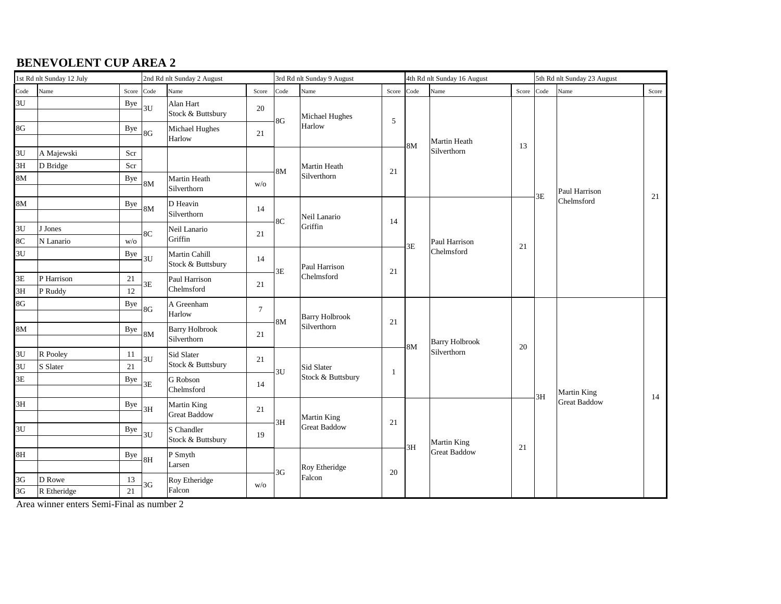|          | 1st Rd nlt Sunday 12 July |          | 2nd Rd nlt Sunday 2 August |                                      |        | 3rd Rd nlt Sunday 9 August |                                      |       | 4th Rd nlt Sunday 16 August |                             |            | 5th Rd nlt Sunday 23 August |                     |       |  |
|----------|---------------------------|----------|----------------------------|--------------------------------------|--------|----------------------------|--------------------------------------|-------|-----------------------------|-----------------------------|------------|-----------------------------|---------------------|-------|--|
| Code     | Name                      | Score    | Code                       | Name                                 | Score  | Code                       | Name                                 | Score | Code                        | Name                        | Score Code |                             | Name                | Score |  |
| 3U       |                           | Bye      | 3U                         | Alan Hart<br>Stock & Buttsbury       | 20     |                            | Michael Hughes                       |       |                             |                             |            |                             |                     |       |  |
| 8G       |                           | Bye      | 8G                         | Michael Hughes<br>Harlow             | 21     | 8G                         | Harlow                               | 5     |                             | <b>Martin Heath</b>         |            |                             |                     |       |  |
| 3U       | A Majewski                | Scr      |                            |                                      |        |                            |                                      |       | <b>8M</b>                   | Silverthorn                 | 13         |                             |                     |       |  |
| 3H       | D Bridge                  | Scr      |                            |                                      |        | 8M                         | Martin Heath                         | 21    |                             |                             |            |                             |                     |       |  |
| 8M       |                           | Bye      | 8M                         | Martin Heath<br>Silverthorn          | W/O    |                            | Silverthorn                          |       |                             |                             |            | 3E                          | Paul Harrison       |       |  |
| 8M       |                           | Bye      | 8M                         | D Heavin<br>Silverthorn              | 14     |                            | Neil Lanario                         |       |                             | Paul Harrison<br>Chelmsford | 21         |                             | Chelmsford          | 21    |  |
| 3U       | J Jones                   |          |                            | Neil Lanario                         |        | 8C                         | Griffin                              | 14    |                             |                             |            |                             |                     |       |  |
| 8C       | N Lanario                 | W/O      | 8C                         | Griffin                              | 21     |                            |                                      |       | 3E                          |                             |            |                             |                     |       |  |
| 3U       |                           | Bye      | 3U                         | Martin Cahill<br>Stock & Buttsbury   | 14     |                            | Paul Harrison<br>Chelmsford          |       |                             |                             |            |                             |                     |       |  |
| 3E       | P Harrison                | 21       |                            | Paul Harrison                        |        | 3E                         |                                      | 21    |                             |                             |            |                             |                     |       |  |
| 3H       | P Ruddy                   | 12       | 3E                         | Chelmsford                           | 21     |                            |                                      |       |                             |                             |            |                             |                     |       |  |
| 8G       |                           | Bye      | 8G                         | A Greenham<br>Harlow                 | $\tau$ | <b>8M</b>                  | <b>Barry Holbrook</b><br>Silverthorn |       |                             |                             |            |                             |                     |       |  |
| 8M       |                           | Bye      | 8M                         | <b>Barry Holbrook</b><br>Silverthorn | 21     |                            |                                      | 21    |                             | <b>Barry Holbrook</b>       |            |                             |                     |       |  |
| 3U       | R Pooley                  | 11       | 3U                         | Sid Slater                           | 21     |                            |                                      |       | 8M                          | Silverthorn                 | 20         |                             |                     |       |  |
| 3U       | S Slater                  | 21       |                            | Stock & Buttsbury                    |        | 3U                         | Sid Slater                           | -1    |                             |                             |            |                             |                     |       |  |
| 3E       |                           | Bye      | 3E                         | G Robson<br>Chelmsford               | 14     |                            | Stock & Buttsbury                    |       |                             |                             |            | 3H                          | Martin King         |       |  |
| 3H       |                           | Bye      | 3H                         | Martin King<br><b>Great Baddow</b>   | 21     |                            | Martin King                          |       |                             |                             |            |                             | <b>Great Baddow</b> | 14    |  |
| 3U       |                           | Bye      | 3U                         | S Chandler<br>Stock & Buttsbury      | 19     | 3H                         | <b>Great Baddow</b>                  | 21    |                             | <b>Martin King</b>          |            |                             |                     |       |  |
| 8H       |                           | Bye      | $-8H$                      | P Smyth<br>Larsen                    |        |                            | Roy Etheridge                        |       | 3H                          | <b>Great Baddow</b>         | 21         |                             |                     |       |  |
| 3G<br>3G | D Rowe<br>R Etheridge     | 13<br>21 | 3G                         | Roy Etheridge<br>Falcon              | W/O    | 3G<br>Falcon               | $20\,$                               |       |                             |                             |            |                             |                     |       |  |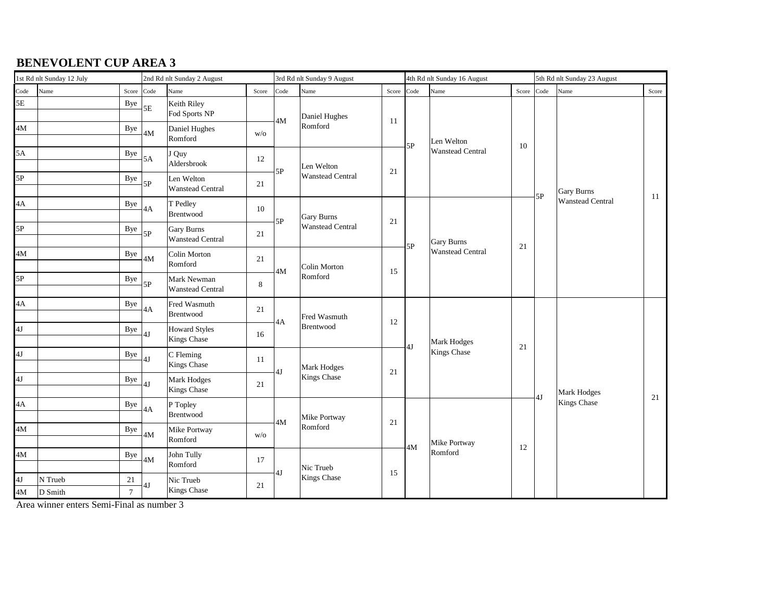| 1st Rd nlt Sunday 12 July |                    |                          | 2nd Rd nlt Sunday 2 August |                                            |             | 3rd Rd nlt Sunday 9 August |                           |        |      | 4th Rd nlt Sunday 16 August           |            | 5th Rd nlt Sunday 23 August |                                              |       |  |
|---------------------------|--------------------|--------------------------|----------------------------|--------------------------------------------|-------------|----------------------------|---------------------------|--------|------|---------------------------------------|------------|-----------------------------|----------------------------------------------|-------|--|
| Code                      | Name               | Score                    | Code                       | Name                                       | Score       | Code                       | Name                      | Score  | Code | Name                                  | Score Code |                             | Name                                         | Score |  |
| 5E                        |                    | <b>Bye</b>               | $5\mathrm{E}$              | Keith Riley<br>Fod Sports NP               |             | 4M                         | Daniel Hughes             | 11     |      | Len Welton<br><b>Wanstead Central</b> |            |                             | <b>Gary Burns</b><br><b>Wanstead Central</b> |       |  |
| 4M                        |                    | Bye                      | 4M                         | Daniel Hughes<br>Romford                   | W/O         |                            | Romford                   |        | 5P   |                                       | 10         |                             |                                              |       |  |
| 5A                        |                    | Bye                      | 5A                         | J Quy<br>Aldersbrook                       | 12          | 5P                         | Len Welton                | 21     |      |                                       |            |                             |                                              |       |  |
| 5P                        |                    | Bye                      | 5P                         | Len Welton<br><b>Wanstead Central</b>      | 21          |                            | <b>Wanstead Central</b>   |        |      |                                       |            | 5P                          |                                              | 11    |  |
| 4A                        |                    | <b>Bye</b>               | 4A                         | T Pedley<br>Brentwood                      | 10          | 5P                         | Gary Burns                | 21     |      | Gary Burns<br><b>Wanstead Central</b> | 21         |                             |                                              |       |  |
| 5P                        |                    | Bye                      | 5P                         | <b>Gary Burns</b><br>Wanstead Central      | 21          |                            | <b>Wanstead Central</b>   |        | 5P   |                                       |            |                             |                                              |       |  |
| 4M                        |                    | Bye                      | 4M                         | Colin Morton<br>Romford                    | 21          | 4M                         | Colin Morton<br>Romford   | 15     |      |                                       |            |                             |                                              |       |  |
| 5P                        |                    | Bye                      | 5P                         | Mark Newman<br><b>Wanstead Central</b>     | $\,$ 8 $\,$ |                            |                           |        |      |                                       |            |                             |                                              |       |  |
| 4A                        |                    | Bye                      | 4A                         | Fred Wasmuth<br>Brentwood                  | 21          |                            | Fred Wasmuth<br>Brentwood |        |      |                                       |            |                             | Mark Hodges                                  |       |  |
| 4J                        |                    | Bye                      | 4J                         | <b>Howard Styles</b><br><b>Kings Chase</b> | 16          | 4A                         |                           | 12     | 4J   | Mark Hodges                           | 21         |                             |                                              |       |  |
| 4J                        |                    | Bye                      | 4J                         | C Fleming<br>Kings Chase                   | 11          | 4J                         | Mark Hodges               | 21     |      | Kings Chase                           |            |                             |                                              |       |  |
| 4J                        |                    | Bye                      | 4J                         | Mark Hodges<br>Kings Chase                 | 21          |                            | Kings Chase               |        |      |                                       |            |                             |                                              |       |  |
| 4A                        |                    | Bye                      | 4A                         | P Topley<br>Brentwood                      |             |                            | Mike Portway              | $21\,$ |      |                                       |            | 4J                          | Kings Chase                                  | 21    |  |
| 4M                        |                    | Bye                      | 4M                         | Mike Portway<br>Romford                    | W/O         | 4M                         | Romford                   |        |      | Mike Portway                          | 12         |                             |                                              |       |  |
| 4M                        |                    | Bye                      | 4M                         | John Tully<br>Romford                      | 17          |                            | Nic Trueb                 |        | 4M   | Romford                               |            |                             |                                              |       |  |
| 4J<br>4M                  | N Trueb<br>D Smith | $21\,$<br>$\overline{7}$ | 4J                         | Nic Trueb<br>Kings Chase                   | 21          | 4J                         | Kings Chase               | 15     |      |                                       |            |                             |                                              |       |  |